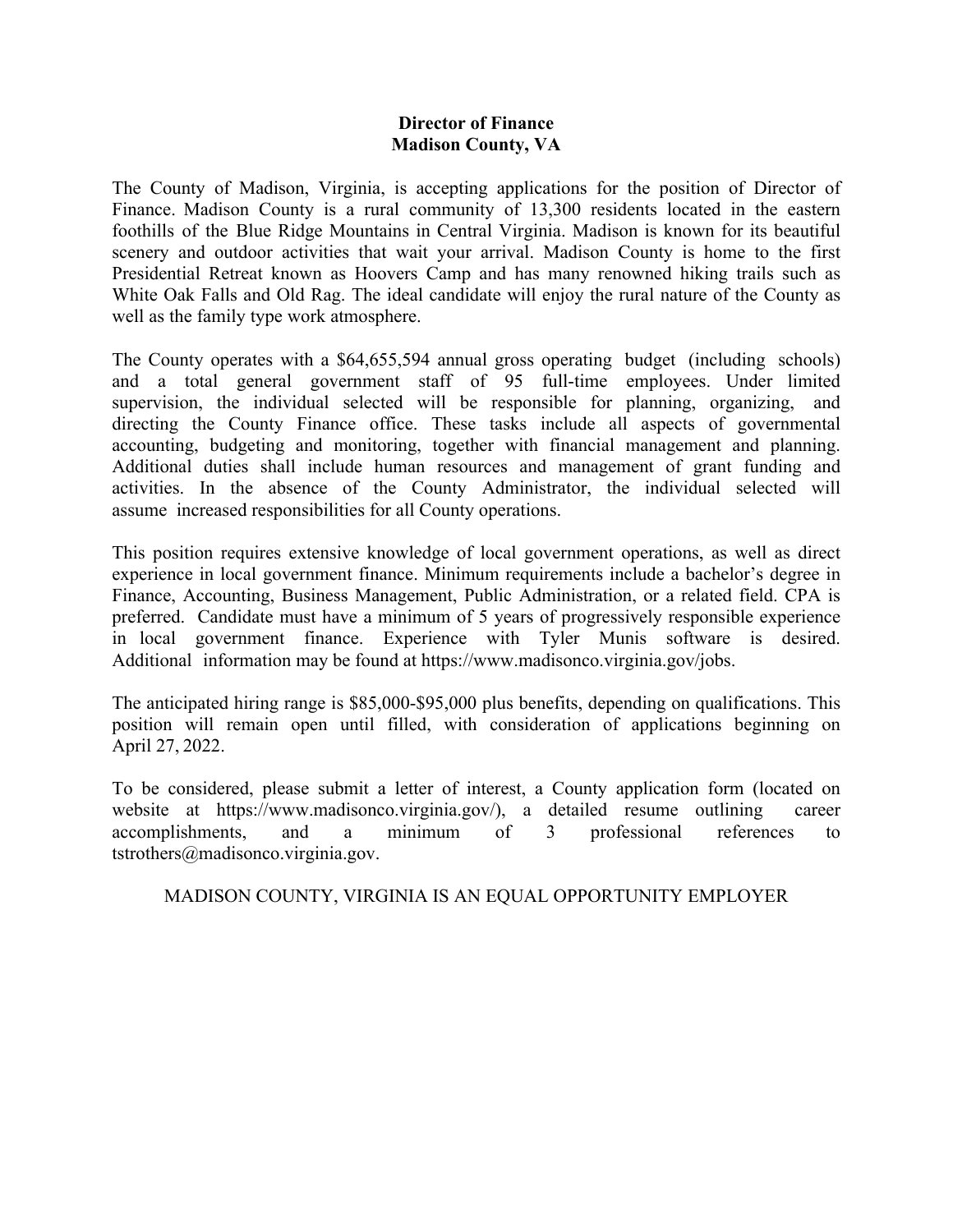## **Director of Finance Madison County, VA**

The County of Madison, Virginia, is accepting applications for the position of Director of Finance. Madison County is a rural community of 13,300 residents located in the eastern foothills of the Blue Ridge Mountains in Central Virginia. Madison is known for its beautiful scenery and outdoor activities that wait your arrival. Madison County is home to the first Presidential Retreat known as Hoovers Camp and has many renowned hiking trails such as White Oak Falls and Old Rag. The ideal candidate will enjoy the rural nature of the County as well as the family type work atmosphere.

The County operates with a \$64,655,594 annual gross operating budget (including schools) and a total general government staff of 95 full-time employees. Under limited supervision, the individual selected will be responsible for planning, organizing, and directing the County Finance office. These tasks include all aspects of governmental accounting, budgeting and monitoring, together with financial management and planning. Additional duties shall include human resources and management of grant funding and activities. In the absence of the County Administrator, the individual selected will assume increased responsibilities for all County operations.

This position requires extensive knowledge of local government operations, as well as direct experience in local government finance. Minimum requirements include a bachelor's degree in Finance, Accounting, Business Management, Public Administration, or a related field. CPA is preferred. Candidate must have a minimum of 5 years of progressively responsible experience in local government finance. Experience with Tyler Munis software is desired. Additional information may be found at https://www.madisonco.virginia.gov/jobs.

The anticipated hiring range is \$85,000-\$95,000 plus benefits, depending on qualifications. This position will remain open until filled, with consideration of applications beginning on April 27, 2022.

To be considered, please submit a letter of interest, a County application form (located on website at https://www.madisonco.virginia.gov/), a detailed resume outlining career accomplishments, and a minimum of 3 professional references to tstrothers@madisonco.virginia.gov.

MADISON COUNTY, VIRGINIA IS AN EQUAL OPPORTUNITY EMPLOYER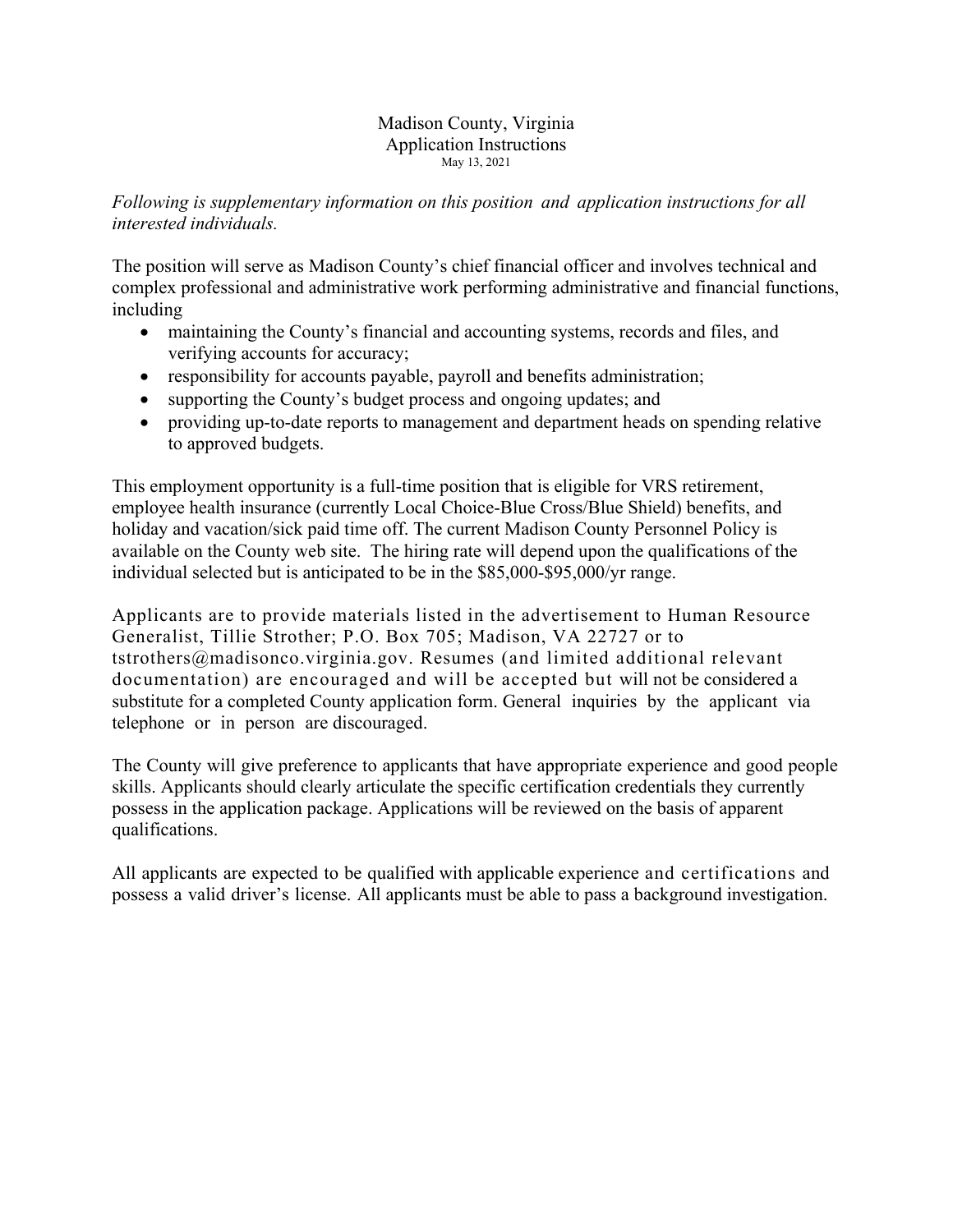#### Madison County, Virginia Application Instructions May 13, 2021

# *Following is supplementary information on this position and application instructions for all interested individuals.*

The position will serve as Madison County's chief financial officer and involves technical and complex professional and administrative work performing administrative and financial functions, including

- maintaining the County's financial and accounting systems, records and files, and verifying accounts for accuracy;
- responsibility for accounts payable, payroll and benefits administration;
- supporting the County's budget process and ongoing updates; and
- providing up-to-date reports to management and department heads on spending relative to approved budgets.

This employment opportunity is a full-time position that is eligible for VRS retirement, employee health insurance (currently Local Choice-Blue Cross/Blue Shield) benefits, and holiday and vacation/sick paid time off. The current Madison County Personnel Policy is available on the County web site. The hiring rate will depend upon the qualifications of the individual selected but is anticipated to be in the \$85,000-\$95,000/yr range.

Applicants are to provide materials listed in the advertisement to Human Resource Generalist, Tillie Strother; P.O. Box 705; Madison, VA 22727 or to tstrothers@madisonco.virginia.gov. Resumes (and limited additional relevant documentation) are encouraged and will be accepted but will not be considered a substitute for a completed County application form. General inquiries by the applicant via telephone or in person are discouraged.

The County will give preference to applicants that have appropriate experience and good people skills. Applicants should clearly articulate the specific certification credentials they currently possess in the application package. Applications will be reviewed on the basis of apparent qualifications.

All applicants are expected to be qualified with applicable experience and certifications and possess a valid driver's license. All applicants must be able to pass a background investigation.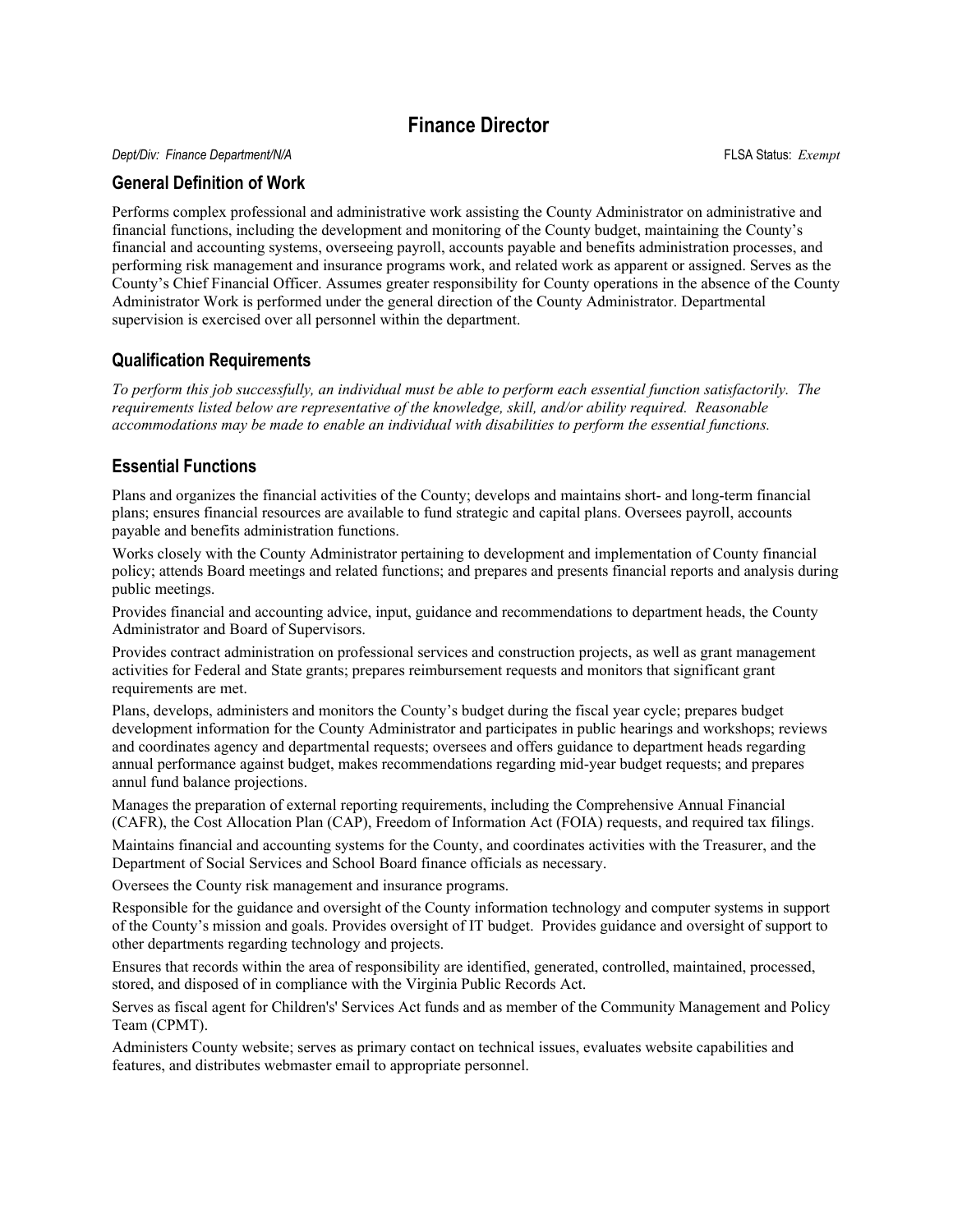# **Finance Director**

*Dept/Div: Finance Department/N/A* FLSA Status: *Exempt*

#### **General Definition of Work**

Performs complex professional and administrative work assisting the County Administrator on administrative and financial functions, including the development and monitoring of the County budget, maintaining the County's financial and accounting systems, overseeing payroll, accounts payable and benefits administration processes, and performing risk management and insurance programs work, and related work as apparent or assigned. Serves as the County's Chief Financial Officer. Assumes greater responsibility for County operations in the absence of the County Administrator Work is performed under the general direction of the County Administrator. Departmental supervision is exercised over all personnel within the department.

### **Qualification Requirements**

*To perform this job successfully, an individual must be able to perform each essential function satisfactorily. The requirements listed below are representative of the knowledge, skill, and/or ability required. Reasonable accommodations may be made to enable an individual with disabilities to perform the essential functions.* 

## **Essential Functions**

Plans and organizes the financial activities of the County; develops and maintains short- and long-term financial plans; ensures financial resources are available to fund strategic and capital plans. Oversees payroll, accounts payable and benefits administration functions.

Works closely with the County Administrator pertaining to development and implementation of County financial policy; attends Board meetings and related functions; and prepares and presents financial reports and analysis during public meetings.

Provides financial and accounting advice, input, guidance and recommendations to department heads, the County Administrator and Board of Supervisors.

Provides contract administration on professional services and construction projects, as well as grant management activities for Federal and State grants; prepares reimbursement requests and monitors that significant grant requirements are met.

Plans, develops, administers and monitors the County's budget during the fiscal year cycle; prepares budget development information for the County Administrator and participates in public hearings and workshops; reviews and coordinates agency and departmental requests; oversees and offers guidance to department heads regarding annual performance against budget, makes recommendations regarding mid-year budget requests; and prepares annul fund balance projections.

Manages the preparation of external reporting requirements, including the Comprehensive Annual Financial (CAFR), the Cost Allocation Plan (CAP), Freedom of Information Act (FOIA) requests, and required tax filings.

Maintains financial and accounting systems for the County, and coordinates activities with the Treasurer, and the Department of Social Services and School Board finance officials as necessary.

Oversees the County risk management and insurance programs.

Responsible for the guidance and oversight of the County information technology and computer systems in support of the County's mission and goals. Provides oversight of IT budget. Provides guidance and oversight of support to other departments regarding technology and projects.

Ensures that records within the area of responsibility are identified, generated, controlled, maintained, processed, stored, and disposed of in compliance with the Virginia Public Records Act.

Serves as fiscal agent for Children's' Services Act funds and as member of the Community Management and Policy Team (CPMT).

Administers County website; serves as primary contact on technical issues, evaluates website capabilities and features, and distributes webmaster email to appropriate personnel.